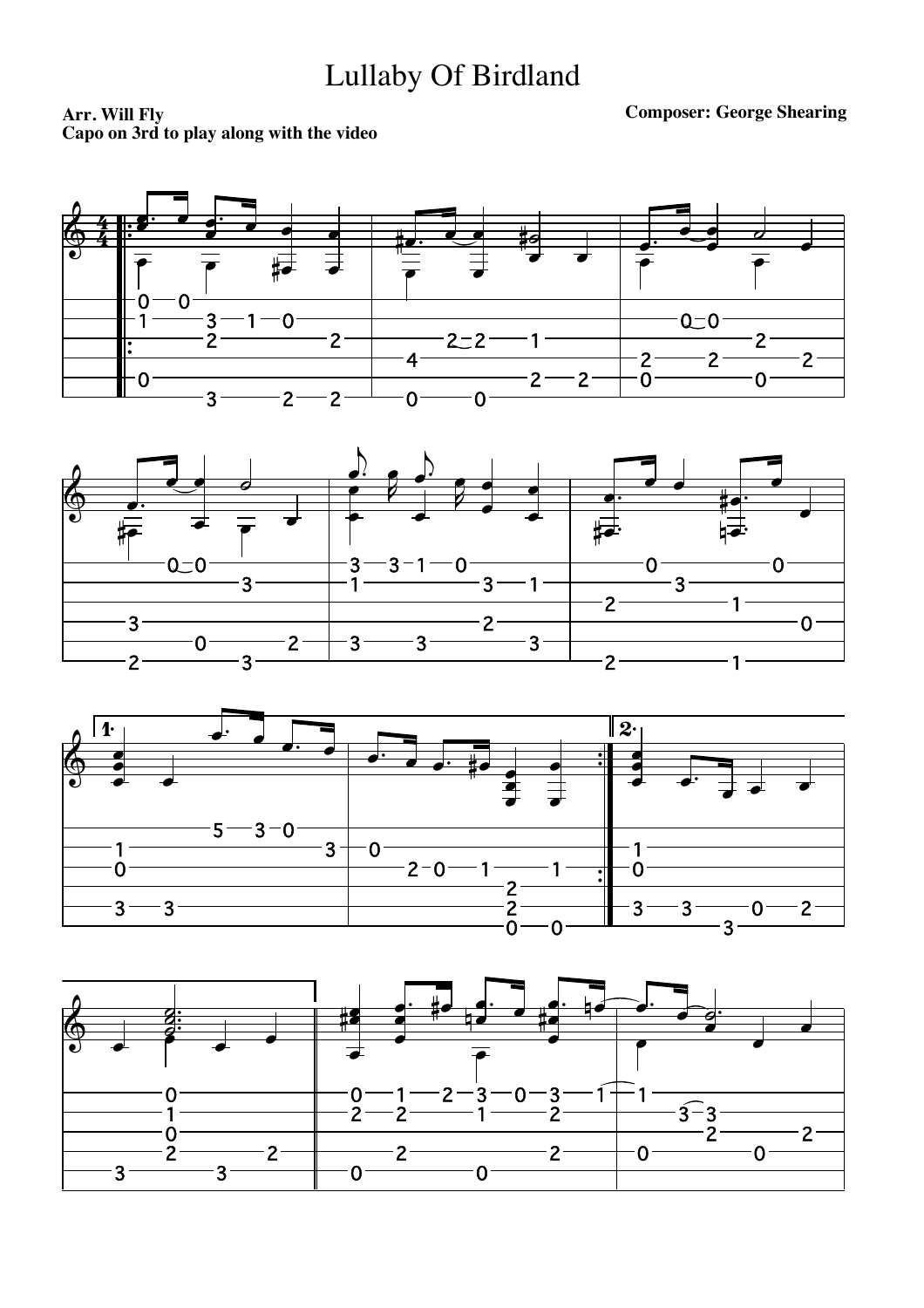## Lullaby Of Birdland

Arr. Will Fly Capo on 3rd to play along with the video **Composer: George Shearing** 







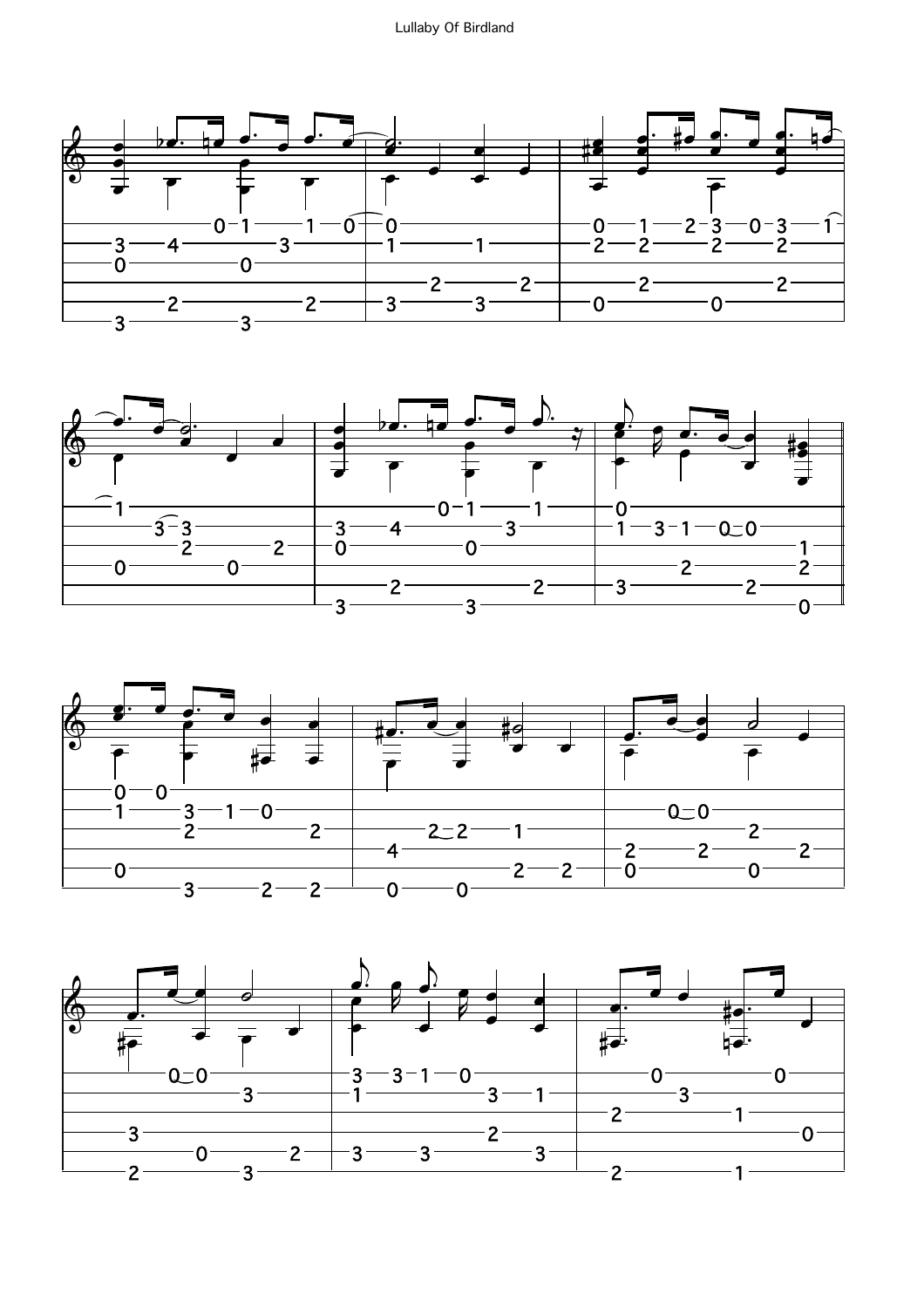